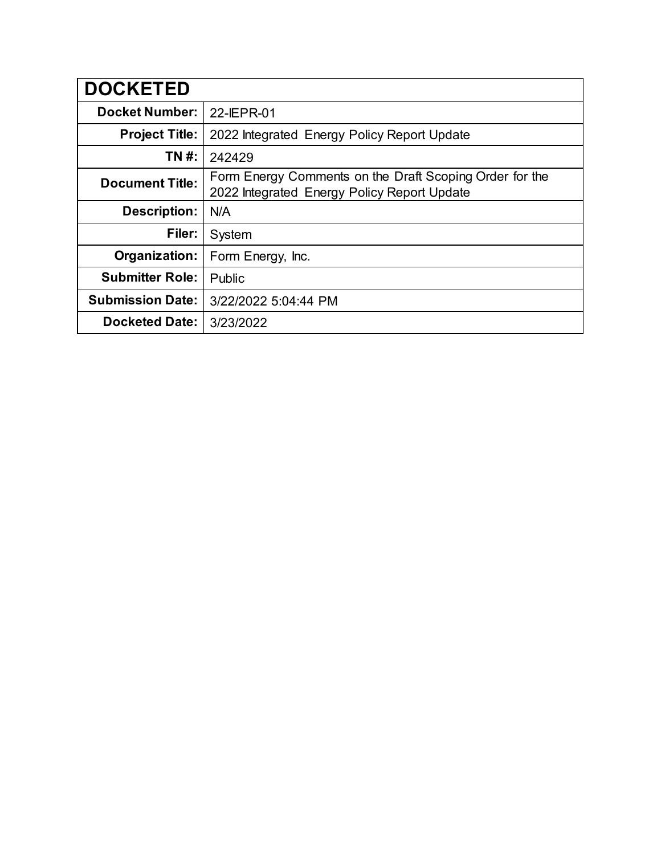| <b>DOCKETED</b>         |                                                                                                        |
|-------------------------|--------------------------------------------------------------------------------------------------------|
| <b>Docket Number:</b>   | 22-IEPR-01                                                                                             |
| <b>Project Title:</b>   | 2022 Integrated Energy Policy Report Update                                                            |
| TN #:                   | 242429                                                                                                 |
| <b>Document Title:</b>  | Form Energy Comments on the Draft Scoping Order for the<br>2022 Integrated Energy Policy Report Update |
| <b>Description:</b>     | N/A                                                                                                    |
| Filer:                  | System                                                                                                 |
| Organization:           | Form Energy, Inc.                                                                                      |
| <b>Submitter Role:</b>  | Public                                                                                                 |
| <b>Submission Date:</b> | 3/22/2022 5:04:44 PM                                                                                   |
| <b>Docketed Date:</b>   | 3/23/2022                                                                                              |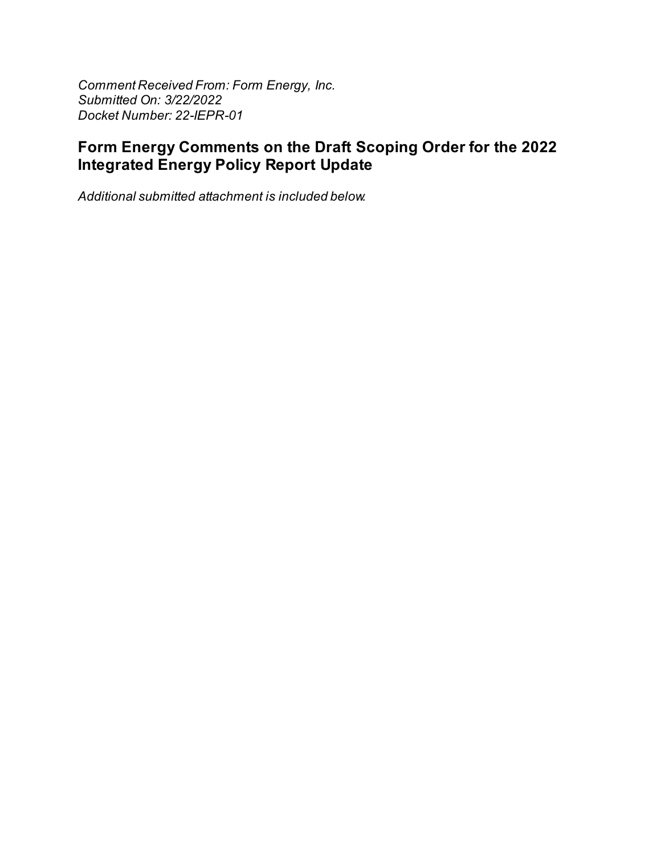Comment Received From: Form Energy, Inc. Submitted On: 3/22/2022 Docket Number: 22-IEPR-01

## Form Energy Comments on the Draft Scoping Order for the 2022 **Integrated Energy Policy Report Update**

Additional submitted attachment is included below.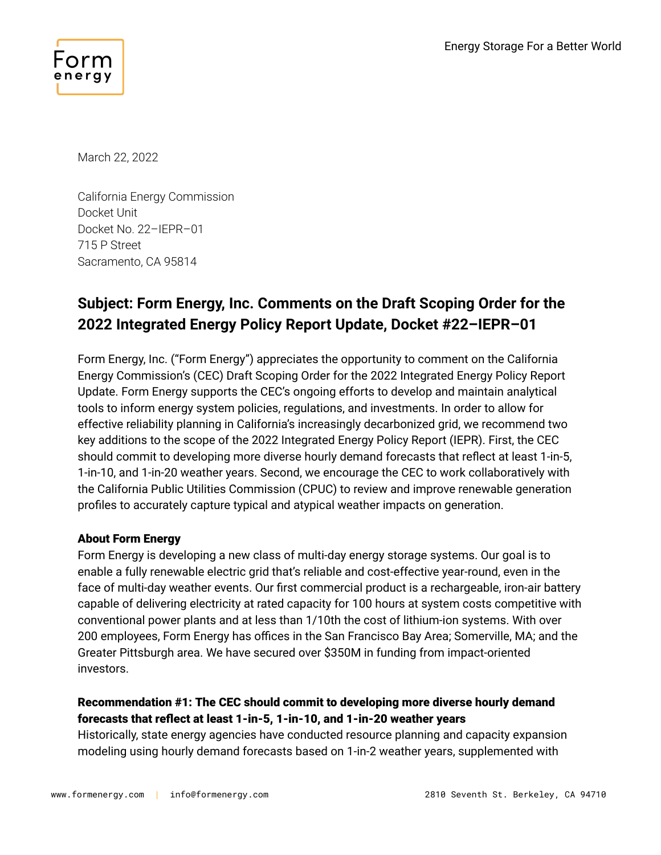

March 22, 2022

California Energy Commission Docket Unit Docket No. 22–IEPR–01 715 P Street Sacramento, CA 95814

# **Subject: Form Energy, Inc. Comments on the Draft Scoping Order for the 2022 Integrated Energy Policy Report Update, Docket #22–IEPR–01**

Form Energy, Inc. ("Form Energy") appreciates the opportunity to comment on the California Energy Commission's (CEC) Draft Scoping Order for the 2022 Integrated Energy Policy Report Update. Form Energy supports the CEC's ongoing efforts to develop and maintain analytical tools to inform energy system policies, regulations, and investments. In order to allow for effective reliability planning in California's increasingly decarbonized grid, we recommend two key additions to the scope of the 2022 Integrated Energy Policy Report (IEPR). First, the CEC should commit to developing more diverse hourly demand forecasts that reflect at least 1-in-5, 1-in-10, and 1-in-20 weather years. Second, we encourage the CEC to work collaboratively with the California Public Utilities Commission (CPUC) to review and improve renewable generation profiles to accurately capture typical and atypical weather impacts on generation.

### About Form Energy

Form Energy is developing a new class of multi-day energy storage systems. Our goal is to enable a fully renewable electric grid that's reliable and cost-effective year-round, even in the face of multi-day weather events. Our first commercial product is a rechargeable, iron-air battery capable of delivering electricity at rated capacity for 100 hours at system costs competitive with conventional power plants and at less than 1/10th the cost of lithium-ion systems. With over 200 employees, Form Energy has offices in the San Francisco Bay Area; Somerville, MA; and the Greater Pittsburgh area. We have secured over \$350M in funding from impact-oriented investors.

## Recommendation #1: The CEC should commit to developing more diverse hourly demand forecasts that reflect at least 1-in-5, 1-in-10, and 1-in-20 weather years

Historically, state energy agencies have conducted resource planning and capacity expansion modeling using hourly demand forecasts based on 1-in-2 weather years, supplemented with